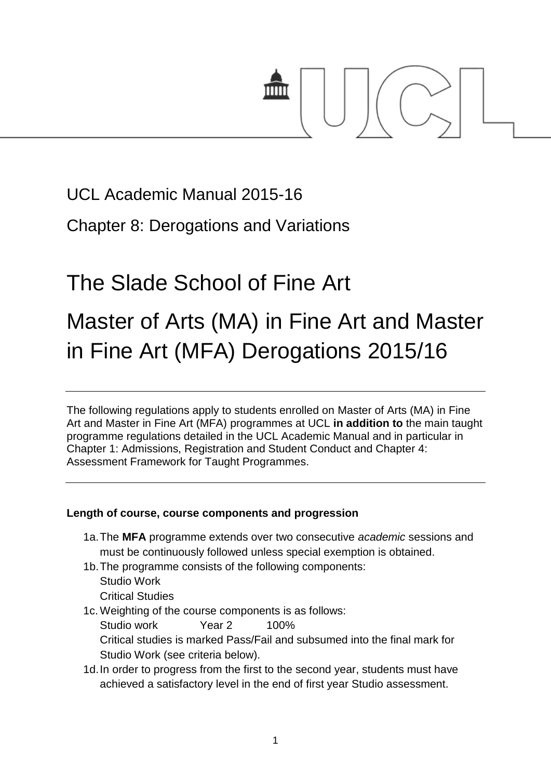

# UCL Academic Manual 2015-16

Chapter 8: Derogations and Variations

# The Slade School of Fine Art

# Master of Arts (MA) in Fine Art and Master in Fine Art (MFA) Derogations 2015/16

The following regulations apply to students enrolled on Master of Arts (MA) in Fine Art and Master in Fine Art (MFA) programmes at UCL **in addition to** the main taught programme regulations detailed in the UCL Academic Manual and in particular in Chapter 1: Admissions, Registration and Student Conduct and Chapter 4: Assessment Framework for Taught Programmes.

# **Length of course, course components and progression**

- 1a.The **MFA** programme extends over two consecutive *academic* sessions and must be continuously followed unless special exemption is obtained.
- 1b.The programme consists of the following components: Studio Work Critical Studies
- 1c. Weighting of the course components is as follows: Studio work Year 2 100% Critical studies is marked Pass/Fail and subsumed into the final mark for Studio Work (see criteria below).
- 1d.In order to progress from the first to the second year, students must have achieved a satisfactory level in the end of first year Studio assessment.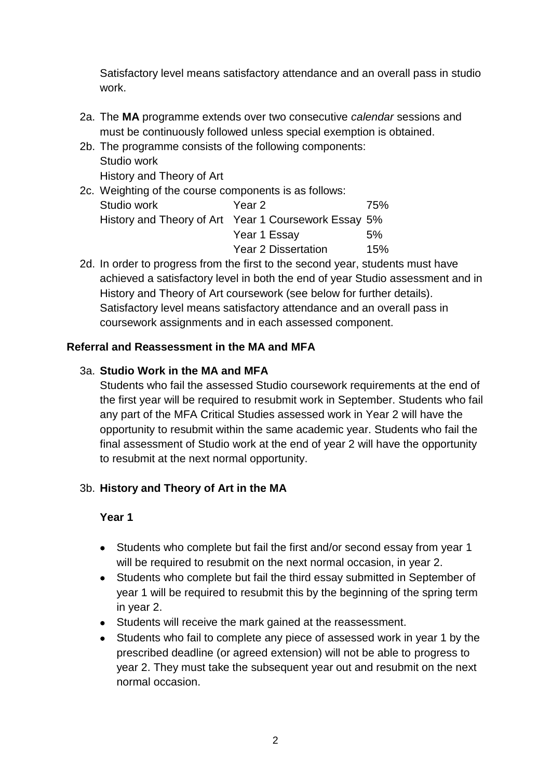Satisfactory level means satisfactory attendance and an overall pass in studio work.

- 2a. The **MA** programme extends over two consecutive *calendar* sessions and must be continuously followed unless special exemption is obtained.
- 2b. The programme consists of the following components: Studio work History and Theory of Art

| 2c. Weighting of the course components is as follows: |                                                      |     |  |
|-------------------------------------------------------|------------------------------------------------------|-----|--|
| Studio work                                           | Year 2                                               | 75% |  |
|                                                       | History and Theory of Art Year 1 Coursework Essay 5% |     |  |
|                                                       | Year 1 Essay                                         | 5%  |  |
|                                                       | <b>Year 2 Dissertation</b>                           | 15% |  |

2d. In order to progress from the first to the second year, students must have achieved a satisfactory level in both the end of year Studio assessment and in History and Theory of Art coursework (see below for further details). Satisfactory level means satisfactory attendance and an overall pass in coursework assignments and in each assessed component.

### **Referral and Reassessment in the MA and MFA**

#### 3a. **Studio Work in the MA and MFA**

Students who fail the assessed Studio coursework requirements at the end of the first year will be required to resubmit work in September. Students who fail any part of the MFA Critical Studies assessed work in Year 2 will have the opportunity to resubmit within the same academic year. Students who fail the final assessment of Studio work at the end of year 2 will have the opportunity to resubmit at the next normal opportunity.

#### 3b. **History and Theory of Art in the MA**

#### **Year 1**

- Students who complete but fail the first and/or second essay from year 1 will be required to resubmit on the next normal occasion, in year 2.
- Students who complete but fail the third essay submitted in September of year 1 will be required to resubmit this by the beginning of the spring term in year 2.
- Students will receive the mark gained at the reassessment.
- Students who fail to complete any piece of assessed work in year 1 by the prescribed deadline (or agreed extension) will not be able to progress to year 2. They must take the subsequent year out and resubmit on the next normal occasion.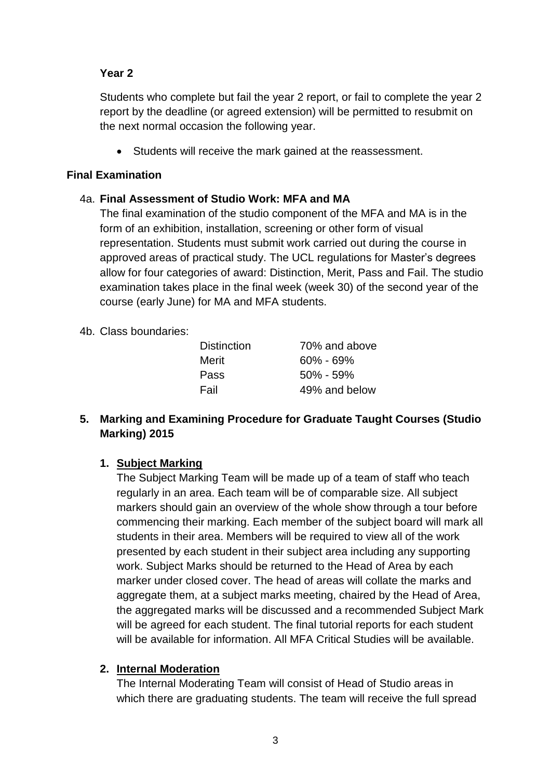### **Year 2**

Students who complete but fail the year 2 report, or fail to complete the year 2 report by the deadline (or agreed extension) will be permitted to resubmit on the next normal occasion the following year.

Students will receive the mark gained at the reassessment.

#### **Final Examination**

### 4a. **Final Assessment of Studio Work: MFA and MA**

The final examination of the studio component of the MFA and MA is in the form of an exhibition, installation, screening or other form of visual representation. Students must submit work carried out during the course in approved areas of practical study. The UCL regulations for Master's degrees allow for four categories of award: Distinction, Merit, Pass and Fail. The studio examination takes place in the final week (week 30) of the second year of the course (early June) for MA and MFA students.

#### 4b. Class boundaries:

| <b>Distinction</b> | 70% and above |
|--------------------|---------------|
| Merit              | $60\% - 69\%$ |
| Pass               | $50\% - 59\%$ |
| Fail               | 49% and below |

### **5. Marking and Examining Procedure for Graduate Taught Courses (Studio Marking) 2015**

#### **1. Subject Marking**

The Subject Marking Team will be made up of a team of staff who teach regularly in an area. Each team will be of comparable size. All subject markers should gain an overview of the whole show through a tour before commencing their marking. Each member of the subject board will mark all students in their area. Members will be required to view all of the work presented by each student in their subject area including any supporting work. Subject Marks should be returned to the Head of Area by each marker under closed cover. The head of areas will collate the marks and aggregate them, at a subject marks meeting, chaired by the Head of Area, the aggregated marks will be discussed and a recommended Subject Mark will be agreed for each student. The final tutorial reports for each student will be available for information. All MFA Critical Studies will be available.

#### **2. Internal Moderation**

The Internal Moderating Team will consist of Head of Studio areas in which there are graduating students. The team will receive the full spread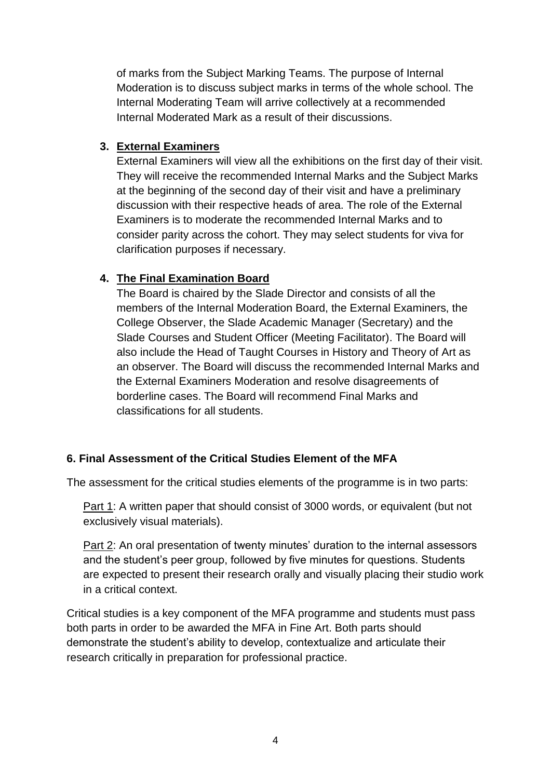of marks from the Subject Marking Teams. The purpose of Internal Moderation is to discuss subject marks in terms of the whole school. The Internal Moderating Team will arrive collectively at a recommended Internal Moderated Mark as a result of their discussions.

### **3. External Examiners**

External Examiners will view all the exhibitions on the first day of their visit. They will receive the recommended Internal Marks and the Subject Marks at the beginning of the second day of their visit and have a preliminary discussion with their respective heads of area. The role of the External Examiners is to moderate the recommended Internal Marks and to consider parity across the cohort. They may select students for viva for clarification purposes if necessary.

# **4. The Final Examination Board**

The Board is chaired by the Slade Director and consists of all the members of the Internal Moderation Board, the External Examiners, the College Observer, the Slade Academic Manager (Secretary) and the Slade Courses and Student Officer (Meeting Facilitator). The Board will also include the Head of Taught Courses in History and Theory of Art as an observer. The Board will discuss the recommended Internal Marks and the External Examiners Moderation and resolve disagreements of borderline cases. The Board will recommend Final Marks and classifications for all students.

# **6. Final Assessment of the Critical Studies Element of the MFA**

The assessment for the critical studies elements of the programme is in two parts:

Part 1: A written paper that should consist of 3000 words, or equivalent (but not exclusively visual materials).

Part 2: An oral presentation of twenty minutes' duration to the internal assessors and the student's peer group, followed by five minutes for questions. Students are expected to present their research orally and visually placing their studio work in a critical context.

Critical studies is a key component of the MFA programme and students must pass both parts in order to be awarded the MFA in Fine Art. Both parts should demonstrate the student's ability to develop, contextualize and articulate their research critically in preparation for professional practice.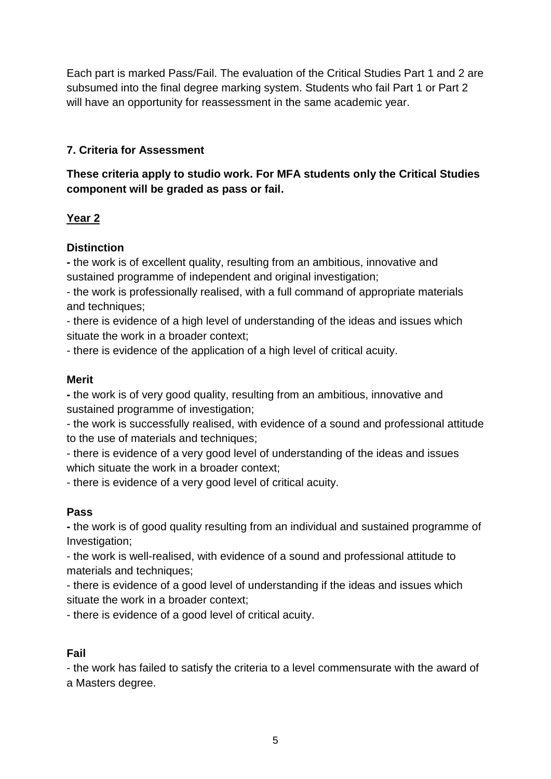Each part is marked Pass/Fail. The evaluation of the Critical Studies Part 1 and 2 are subsumed into the final degree marking system. Students who fail Part 1 or Part 2 will have an opportunity for reassessment in the same academic year.

# **7. Criteria for Assessment**

# **These criteria apply to studio work. For MFA students only the Critical Studies component will be graded as pass or fail.**

# **Year 2**

# **Distinction**

**-** the work is of excellent quality, resulting from an ambitious, innovative and sustained programme of independent and original investigation;

- the work is professionally realised, with a full command of appropriate materials and techniques:

- there is evidence of a high level of understanding of the ideas and issues which situate the work in a broader context;

- there is evidence of the application of a high level of critical acuity.

# **Merit**

**-** the work is of very good quality, resulting from an ambitious, innovative and sustained programme of investigation;

- the work is successfully realised, with evidence of a sound and professional attitude to the use of materials and techniques;

- there is evidence of a very good level of understanding of the ideas and issues which situate the work in a broader context;

- there is evidence of a very good level of critical acuity.

# **Pass**

**-** the work is of good quality resulting from an individual and sustained programme of Investigation;

- the work is well-realised, with evidence of a sound and professional attitude to materials and techniques;

- there is evidence of a good level of understanding if the ideas and issues which situate the work in a broader context;

- there is evidence of a good level of critical acuity.

# **Fail**

- the work has failed to satisfy the criteria to a level commensurate with the award of a Masters degree.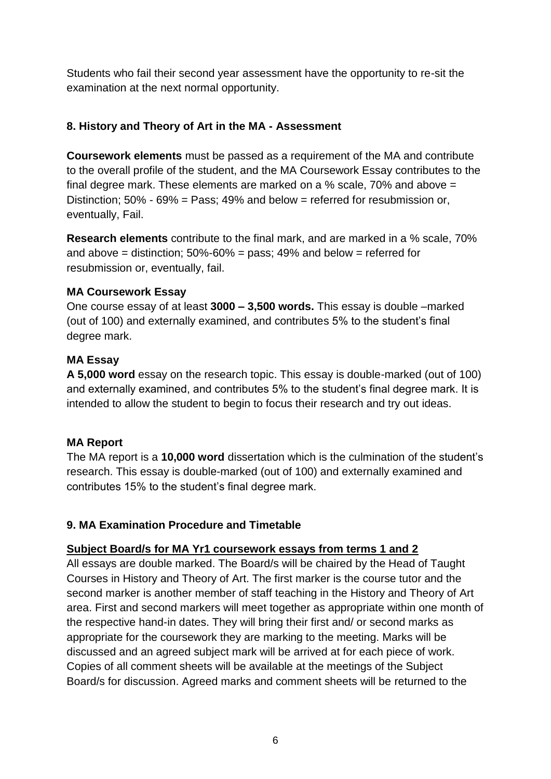Students who fail their second year assessment have the opportunity to re-sit the examination at the next normal opportunity.

#### **8. History and Theory of Art in the MA - Assessment**

**Coursework elements** must be passed as a requirement of the MA and contribute to the overall profile of the student, and the MA Coursework Essay contributes to the final degree mark. These elements are marked on a % scale, 70% and above = Distinction:  $50\% - 69\% = Pass$ : 49% and below = referred for resubmission or, eventually, Fail.

**Research elements** contribute to the final mark, and are marked in a % scale, 70% and above = distinction;  $50\% - 60\% = \text{pass}$ ; 49% and below = referred for resubmission or, eventually, fail.

#### **MA Coursework Essay**

One course essay of at least **3000 – 3,500 words.** This essay is double –marked (out of 100) and externally examined, and contributes 5% to the student's final degree mark.

### **MA Essay**

**A 5,000 word** essay on the research topic. This essay is double-marked (out of 100) and externally examined, and contributes 5% to the student's final degree mark. It is intended to allow the student to begin to focus their research and try out ideas.

# **MA Report**

The MA report is a **10,000 word** dissertation which is the culmination of the student's research. This essay is double-marked (out of 100) and externally examined and contributes 15% to the student's final degree mark.

# **9. MA Examination Procedure and Timetable**

#### **Subject Board/s for MA Yr1 coursework essays from terms 1 and 2**

All essays are double marked. The Board/s will be chaired by the Head of Taught Courses in History and Theory of Art. The first marker is the course tutor and the second marker is another member of staff teaching in the History and Theory of Art area. First and second markers will meet together as appropriate within one month of the respective hand-in dates. They will bring their first and/ or second marks as appropriate for the coursework they are marking to the meeting. Marks will be discussed and an agreed subject mark will be arrived at for each piece of work. Copies of all comment sheets will be available at the meetings of the Subject Board/s for discussion. Agreed marks and comment sheets will be returned to the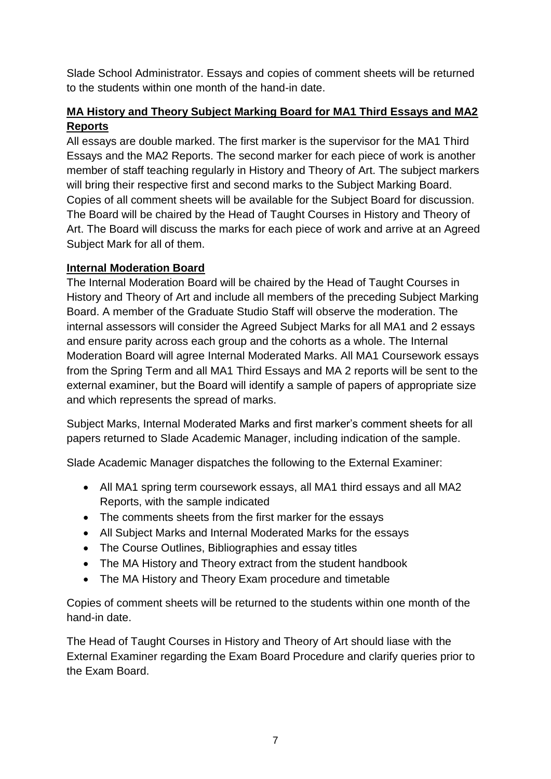Slade School Administrator. Essays and copies of comment sheets will be returned to the students within one month of the hand-in date.

# **MA History and Theory Subject Marking Board for MA1 Third Essays and MA2 Reports**

All essays are double marked. The first marker is the supervisor for the MA1 Third Essays and the MA2 Reports. The second marker for each piece of work is another member of staff teaching regularly in History and Theory of Art. The subject markers will bring their respective first and second marks to the Subject Marking Board. Copies of all comment sheets will be available for the Subject Board for discussion. The Board will be chaired by the Head of Taught Courses in History and Theory of Art. The Board will discuss the marks for each piece of work and arrive at an Agreed Subject Mark for all of them.

### **Internal Moderation Board**

The Internal Moderation Board will be chaired by the Head of Taught Courses in History and Theory of Art and include all members of the preceding Subject Marking Board. A member of the Graduate Studio Staff will observe the moderation. The internal assessors will consider the Agreed Subject Marks for all MA1 and 2 essays and ensure parity across each group and the cohorts as a whole. The Internal Moderation Board will agree Internal Moderated Marks. All MA1 Coursework essays from the Spring Term and all MA1 Third Essays and MA 2 reports will be sent to the external examiner, but the Board will identify a sample of papers of appropriate size and which represents the spread of marks.

Subject Marks, Internal Moderated Marks and first marker's comment sheets for all papers returned to Slade Academic Manager, including indication of the sample.

Slade Academic Manager dispatches the following to the External Examiner:

- All MA1 spring term coursework essays, all MA1 third essays and all MA2 Reports, with the sample indicated
- The comments sheets from the first marker for the essays
- All Subject Marks and Internal Moderated Marks for the essays
- The Course Outlines, Bibliographies and essay titles
- The MA History and Theory extract from the student handbook
- The MA History and Theory Exam procedure and timetable

Copies of comment sheets will be returned to the students within one month of the hand-in date.

The Head of Taught Courses in History and Theory of Art should liase with the External Examiner regarding the Exam Board Procedure and clarify queries prior to the Exam Board.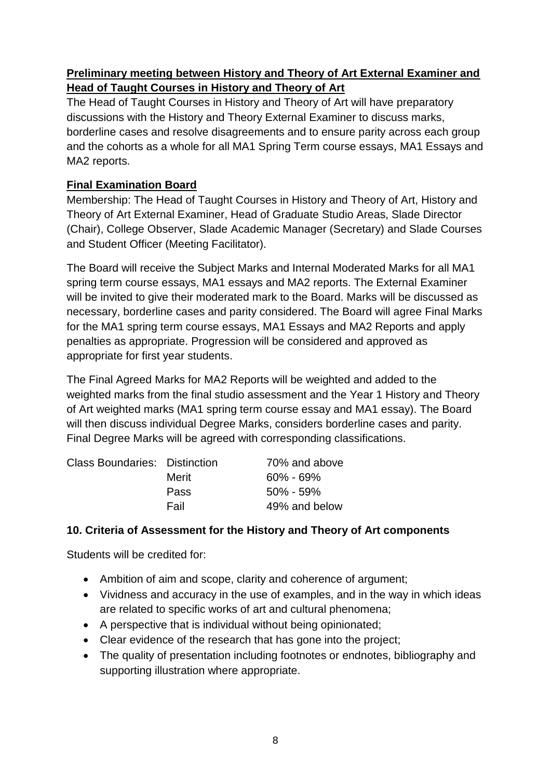# **Preliminary meeting between History and Theory of Art External Examiner and Head of Taught Courses in History and Theory of Art**

The Head of Taught Courses in History and Theory of Art will have preparatory discussions with the History and Theory External Examiner to discuss marks, borderline cases and resolve disagreements and to ensure parity across each group and the cohorts as a whole for all MA1 Spring Term course essays, MA1 Essays and MA2 reports.

# **Final Examination Board**

Membership: The Head of Taught Courses in History and Theory of Art, History and Theory of Art External Examiner, Head of Graduate Studio Areas, Slade Director (Chair), College Observer, Slade Academic Manager (Secretary) and Slade Courses and Student Officer (Meeting Facilitator).

The Board will receive the Subject Marks and Internal Moderated Marks for all MA1 spring term course essays, MA1 essays and MA2 reports. The External Examiner will be invited to give their moderated mark to the Board. Marks will be discussed as necessary, borderline cases and parity considered. The Board will agree Final Marks for the MA1 spring term course essays, MA1 Essays and MA2 Reports and apply penalties as appropriate. Progression will be considered and approved as appropriate for first year students.

The Final Agreed Marks for MA2 Reports will be weighted and added to the weighted marks from the final studio assessment and the Year 1 History and Theory of Art weighted marks (MA1 spring term course essay and MA1 essay). The Board will then discuss individual Degree Marks, considers borderline cases and parity. Final Degree Marks will be agreed with corresponding classifications.

| <b>Class Boundaries: Distinction</b> | 70% and above |
|--------------------------------------|---------------|
| Merit                                | $60\% - 69\%$ |
| Pass                                 | $50\% - 59\%$ |
| Fail                                 | 49% and below |
|                                      |               |

# **10. Criteria of Assessment for the History and Theory of Art components**

Students will be credited for:

- Ambition of aim and scope, clarity and coherence of argument;
- Vividness and accuracy in the use of examples, and in the way in which ideas are related to specific works of art and cultural phenomena;
- A perspective that is individual without being opinionated;
- Clear evidence of the research that has gone into the project;
- The quality of presentation including footnotes or endnotes, bibliography and supporting illustration where appropriate.